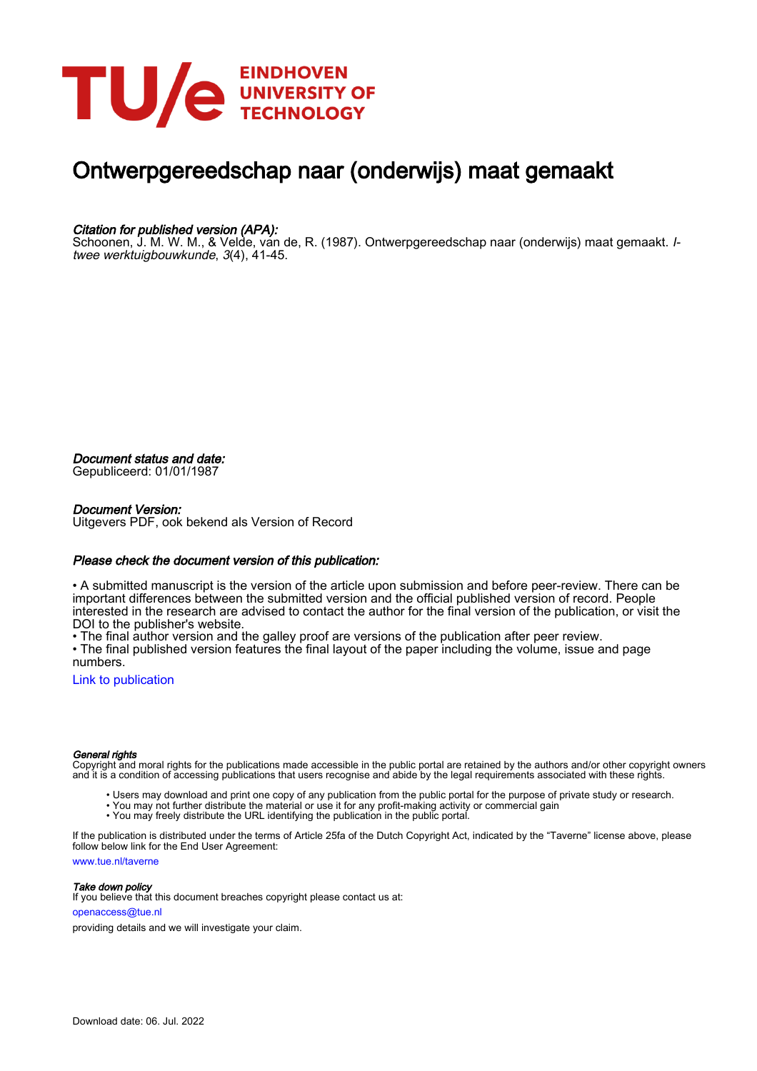

## Ontwerpgereedschap naar (onderwijs) maat gemaakt

#### Citation for published version (APA):

Schoonen, J. M. W. M., & Velde, van de, R. (1987). Ontwerpgereedschap naar (onderwijs) maat gemaakt. Itwee werktuigbouwkunde, 3(4), 41-45.

Document status and date:

Gepubliceerd: 01/01/1987

#### Document Version:

Uitgevers PDF, ook bekend als Version of Record

#### Please check the document version of this publication:

• A submitted manuscript is the version of the article upon submission and before peer-review. There can be important differences between the submitted version and the official published version of record. People interested in the research are advised to contact the author for the final version of the publication, or visit the DOI to the publisher's website.

• The final author version and the galley proof are versions of the publication after peer review.

• The final published version features the final layout of the paper including the volume, issue and page numbers.

[Link to publication](https://research.tue.nl/nl/publications/d9ad4e2b-ea5c-4088-bc66-c3ad0944ad93)

#### General rights

Copyright and moral rights for the publications made accessible in the public portal are retained by the authors and/or other copyright owners and it is a condition of accessing publications that users recognise and abide by the legal requirements associated with these rights.

- Users may download and print one copy of any publication from the public portal for the purpose of private study or research.
- You may not further distribute the material or use it for any profit-making activity or commercial gain
- You may freely distribute the URL identifying the publication in the public portal.

If the publication is distributed under the terms of Article 25fa of the Dutch Copyright Act, indicated by the "Taverne" license above, please follow below link for the End User Agreement:

www.tue.nl/taverne

**Take down policy**<br>If you believe that this document breaches copyright please contact us at:

openaccess@tue.nl

providing details and we will investigate your claim.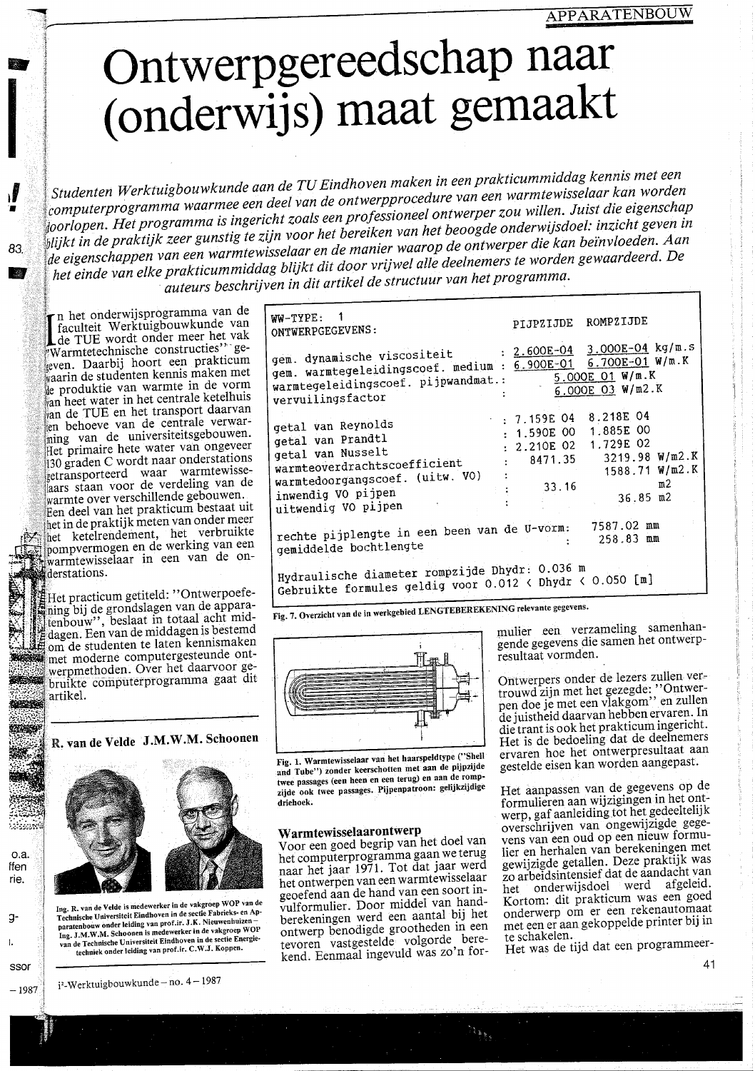# Ontwerpgereedschap naar (onderwijs) maat gemaakt

Studenten Werktuigbouwkunde aan de TU Eindhoven maken in een prakticummiddag kennis met een computerprogramma waarmee een deel van de ontwerpprocedure van een warmtewisselaar kan worden Joorlopen. Het programma is ingericht zoals een professioneel ontwerper zou willen. Juist die eigenschap blijkt in de praktijk zeer gunstig te zijn voor het bereiken van het beoogde onderwijsdoel: inzicht geven in de eigenschappen van een warmtewisselaar en de manier waarop de ontwerper die kan beïnvloeden. Aan het einde van elke prakticummiddag blijkt dit door vrijwel alle deelnemers te worden gewaardeerd. De auteurs beschrijven in dit artikel de structuur van het programma.

n het onderwijsprogramma van de faculteit Werktuigbouwkunde van de TUE wordt onder meer het vak Warmtetechnische constructies" geleven. Daarbij hoort een prakticum vaarin de studenten kennis maken met le produktie van warmte in de vorm an heet water in het centrale ketelhuis wan de TUE en het transport daarvan en behoeve van de centrale verwarning van de universiteitsgebouwen. Het primaire hete water van ongeveer 130 graden C wordt naar onderstations getränsporteerd waar warmtewisseaars staan voor de verdeling van de<br>warmte over verschillende gebouwen. Een deel van het prakticum bestaat uit het in de praktijk meten van onder meer het ketelrendement, het verbruikte pompvermogen en de werking van een warmtewisselaar in een van de onderstations.

Het practicum getiteld: "Ontwerpoefening bij de grondslagen van de apparatenbouw", beslaat in totaal acht middagen. Een van de middagen is bestemd om de studenten te laten kennismaken met moderne computergesteunde ontwerpmethoden. Over het daarvoor gebruikte computerprogramma gaat dit artikel.

R. van de Velde J.M.W.M. Schoonen



Ing. R. van de Velde is medewerker in de vakgroep WOP van de Technische Universiteit Eindhoven in de sectie Fabrieks- en Apparatenbouw onder leiding van prof.ir. J.K. Nieuwenhuizen Ing. J.M.W.M. Schoonen is medewerker in de vakgroep WOP<br>van de Technische Universiteit Eindhoven in de sectie Energietechniek onder leiding van prof.ir. C.W.J. Koppen.

87

| $WW-TYPE: 1$<br>ONTWERPGEGEVENS:                                                                                                                                             | PIJPZIJDE                                                                            | ROMPZIJDE                                                                                |
|------------------------------------------------------------------------------------------------------------------------------------------------------------------------------|--------------------------------------------------------------------------------------|------------------------------------------------------------------------------------------|
| gem. dynamische viscositeit<br>gem. warmtegeleidingscoef. medium : 6.900E-01 6.700E-01 W/m.K<br>warmtegeleidingscoef. pijpwandmat.:<br>vervuilingsfactor                     |                                                                                      | : $2.600E-04$ 3.000E-04 kg/m.s<br>5.000E 01 W/m.K<br>6.000E 03 W/m2.K                    |
| getal van Reynolds<br>getal van Prandtl<br>getal van Nusselt<br>warmteoverdrachtscoefficient<br>warmtedoorgangscoef. (uitw. VO)<br>inwendig VO pijpen<br>uitwendig VO pijpen | $\therefore$ 7.159E 04<br>: 1.590E 00 1.885E 00<br>: 2.210E 02<br>: 8471.35<br>33.16 | 8.218E 04<br>1.729E 02<br>3219.98 W/m2.K<br>1588.71 W/m2.K<br>m <sub>2</sub><br>36.85 m2 |
| rechte pijplengte in een been van de U-vorm:<br>gemiddelde bochtlengte                                                                                                       |                                                                                      | 7587.02 mm<br>258.83 mm                                                                  |
| Hydraulische diameter rompzijde Dhydr: 0.036 m<br>Gebruikte formules geldig voor 0.012 < Dhydr < 0.050 [m]                                                                   |                                                                                      |                                                                                          |

Fig. 7. Overzicht van de in werkgebied LENGTEBEREKENING relevante gegevens.



Fig. 1. Warmtewisselaar van het haarspeldtype ("Shell and Tube") zonder keerschotten met aan de pijpzijde twee passages (een heen en een terug) en aan de rompzijde ook twee passages. Pijpenpatroon: gelijkzijdige driehoek.

#### Warmtewisselaarontwerp

Voor een goed begrip van het doel van het computerprogramma gaan we terug<br>naar het jaar 1971. Tot dat jaar werd het ontwerpen van een warmtewisselaar geoefend aan de hand van een soort invulformulier. Door middel van handberekeningen werd een aantal bij het ontwerp benodigde grootheden in een tevoren vastgestelde volgorde berekend. Eenmaal ingevuld was zo'n formulier een verzameling samenhangende gegevens die samen het ontwerpresultaat vormden.

Ontwerpers onder de lezers zullen vertrouwd zijn met het gezegde: "Ontwerpen doe je met een vlakgom'' en zullen de juistheid daarvan hebben ervaren. In die trant is ook het prakticum ingericht. Het is de bedoeling dat de deelnemers ervaren hoe het ontwerpresultaat aan gestelde eisen kan worden aangepast.

Het aanpassen van de gegevens op de formulieren aan wijzigingen in het ontwerp, gaf aanleiding tot het gedeeltelijk overschrijven van ongewijzigde gegevens van een oud op een nieuw formulier en herhalen van berekeningen met gewijzigde getallen. Deze praktijk was zo arbeidsintensief dat de aandacht van het onderwijsdoel werd afgeleid. Kortom: dit prakticum was een goed onderwerp om er een rekenautomaat met een er aan gekoppelde printer bij in te schakelen.

Het was de tijd dat een programmeer-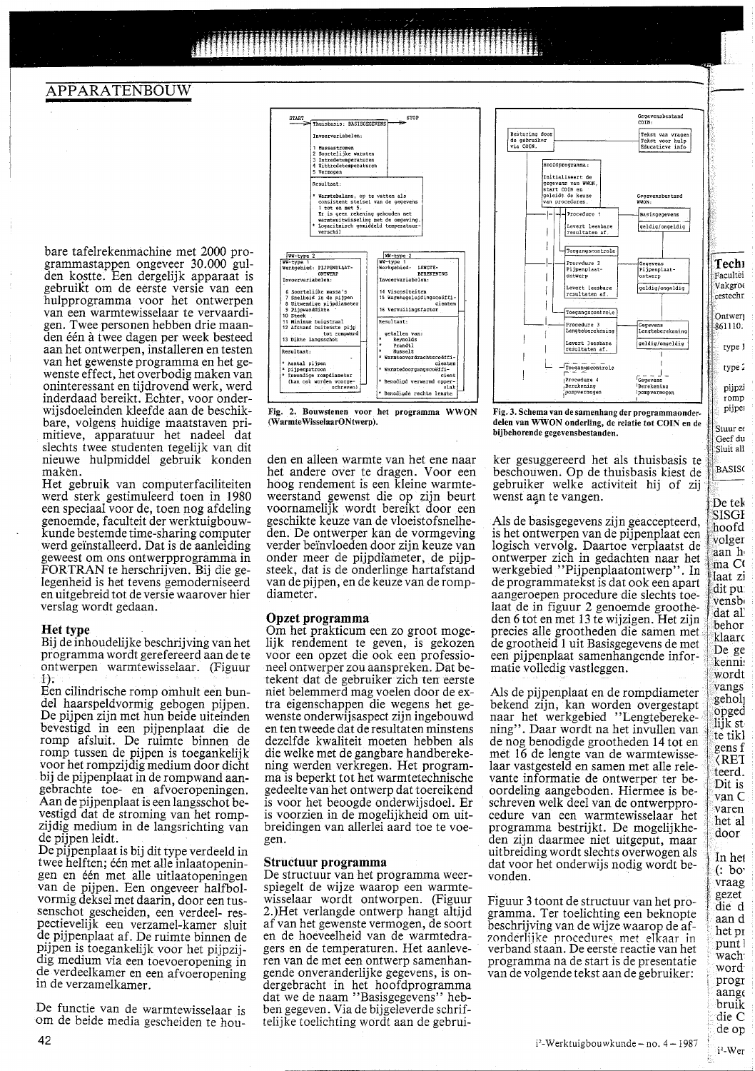#### APPARATENBOUW

bare tafelrekenmachine met 2000 programmastappen ongeveer 30.000 gulden kostte. Een dergelijk apparaat is gebruikt om de eerste versie van een hulpprogramma voor het ontwerpen van een warmtewisselaar te vervaardigen. Twee personen hebben drie maanden één à twee dagen per week besteed aan het ontwerpen, installeren en testen van het gewenste programma en het gewenste effect, het overbodig maken van oninteressant en tijdrovend werk, werd inderdaad bereikt. Echter, voor onderwijsdoeleinden kleefde aan de beschikbare, volgens huidige maatstaven primitieve, apparatuur het nadeel dat slechts twee studenten tegelijk van dit nieuwe hulpmiddel gebruik konden maken.

Het gebruik van computerfaciliteiten werd sterk gestimuleerd toen in 1980 een speciaal voor de, toen nog afdeling genoemde, faculteit der werktuigbouwkunde bestemde time-sharing computer werd geïnstalleerd. Dat is de aanleiding geweest om ons ontwerpprogramma in FORTRAN te herschrijven. Bij die gelegenheid is het tevens gemoderniseerd en uitgebreid tot de versie waarover hier verslag wordt gedaan.

#### **Het type**

Bij de inhoudelijke beschrijving van het programma wordt gerefereerd aan de te ontwerpen warmtewisselaar. (Figuur  $\pm$ 

Een cilindrische romp omhult een bundel haarspeldvormig gebogen pijpen. De pijpen zijn met hun beide uiteinden bevestigd in een pijpenplaat die de romp afsluit. De ruimte binnen de romp tussen de pijpen is toegankelijk voor het rompzijdig medium door dicht bij de pijpenplaat in de rompwand aangebrachte toe- en afvoeropeningen. Aan de pijpenplaat is een langsschot bevestigd dat de stroming van het rompzijdig medium in de langsrichting van de pijpen leidt.

De pijpenplaat is bij dit type verdeeld in twee helften; één met alle inlaatopeningen en één met alle uitlaatopeningen van de pijpen. Een ongeveer halfbolvormig deksel met daarin, door een tussenschot gescheiden, een verdeel- respectievelijk een verzamel-kamer sluit de pijpenplaat af. De ruimte binnen de pijpen is toegankelijk voor het pijpzijdig medium via een toevoeropening in de verdeelkamer en een afvoeropening in de verzamelkamer.

De functie van de warmtewisselaar is om de beide media gescheiden te hou-



Fig. 2. Bouwstenen voor het programma WWON (WarmteWisselaarONtwerp)

den en alleen warmte van het ene naar het andere over te dragen. Voor een hoog rendement is een kleine warmteweerstand gewenst die op zijn beurt voornamelijk wordt bereikt door een geschikte keuze van de vloeistofsnelheden. De ontwerper kan de vormgeving verder beïnvloeden door zijn keuze van onder meer de pijpdiameter, de pijpsteek, dat is de onderlinge hartafstand van de pijpen, en de keuze van de rompdiameter.

#### Opzet programma

Om het prakticum een zo groot mogelijk rendement te geven, is gekozen voor een opzet die ook een professioneel ontwerper zou aanspreken. Dat betekent dat de gebruiker zich ten eerste niet belemmerd mag voelen door de extra eigenschappen die wegens het gewenste onderwijsaspect zijn ingebouwd en ten tweede dat de resultaten minstens dezelfde kwaliteit moeten hebben als die welke met de gangbare handberekening werden verkregen. Het programma is beperkt tot het warmtetechnische gedeelte van het ontwerp dat toereikend is voor het beoogde onderwijsdoel. Er is voorzien in de mogelijkheid om uitbreidingen van allerlei aard toe te voegen.

#### Structuur programma

De structuur van het programma weerspiegelt de wijze waarop een warmtewisselaar wordt ontworpen. (Figuur 2.)Het verlangde ontwerp hangt altijd af van het gewenste vermogen, de soort en de hoeveelheid van de warmtedragers en de temperaturen. Het aanleveren van de met een ontwerp samenhangende onveranderlijke gegevens, is ondergebracht in het hoofdprogramma dat we de naam "Basisgegevens" hebben gegeven. Via de bijgeleverde schriftelijke toelichting wordt aan de gebrui-



 $\mathbf T$ 

Fac Va

ces

∣`on

861

 $\mathbf{t}$ 

 $\mathbf{I}$ 

St.

Ge

Sh

B/

 $\mathbf{D}\epsilon$ 

SI:

ħ٥

 $\mathbf{v}\mathbf{o}$ 

aa

 $m<sub>i</sub>$ 

laa

dit

ve:

da

be

kl:

D)

ke

w.

vа

ge

op

Ιij

te

ge

ζI

te

D,

va

va

he

do

In

€

VI

ge

ăi

яź

h٤

pι

Ŵ

Ŵ

рı

aa

bı

di

d.

 $i<sup>2</sup>$ 

Fig. 3. Schema van de samenhang der programmaonderdelen van WWON onderling, de relatie tot COIN en de bijbehorende gegevensbestanden.

ker gesuggereerd het als thuisbasis te beschouwen. Op de thuisbasis kiest de gebruiker welke activiteit hij of zij wenst aan te vangen.

Als de basisgegevens zijn geaccepteerd, is het ontwerpen van de pijpenplaat een logisch vervolg. Daartoe verplaatst de ontwerper zich in gedachten naar het<br>werkgebied ''Pijpenplaatontwerp''. In de programmatekst is dat ook een apart aangeroepen procedure die slechts toelaat de in figuur 2 genoemde grootheden 6 tot en met 13 te wijzigen. Het zijn precies alle grootheden die samen met de grootheid 1 uit Basisgegevens de met een pijpenplaat samenhangende informatie volledig vastleggen.

Als de pijpenplaat en de rompdiameter bekend zijn, kan worden overgestapt<br>naar het werkgebied "Lengteberekening". Daar wordt na het invullen van de nog benodigde grootheden 14 tot en met 16 de lengte van de warmtewisselaar vastgesteld en samen met alle relevante informatie de ontwerper ter beoordeling aangeboden. Hiermee is beschreven welk deel van de ontwerpprocedure van een warmtewisselaar het programma bestrijkt. De mogelijkheden zijn daarmee niet uitgeput, maar uitbreiding wordt slechts overwogen als dat voor het onderwijs nodig wordt bevonden.

Figuur 3 toont de structuur van het programma. Ter toelichting een beknopte beschrijving van de wijze waarop de afzonderlijke procedures met elkaar in verband staan. De eerste reactie van het programma na de start is de presentatie van de volgende tekst aan de gebruiker:

42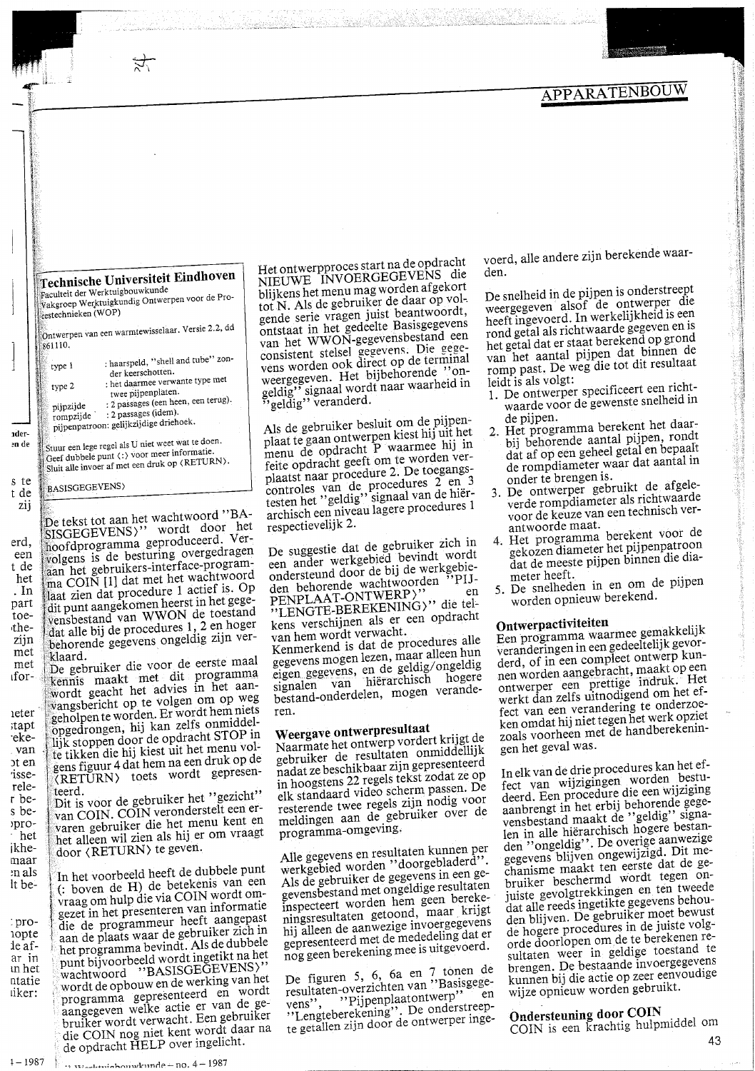Technische Universiteit Eindhoven Faculteit der Werktuigbouwkunde

Vakgroep Werktuigkundig Ontwerpen voor de Procestechnieken (WOP)

Ontwerpen van een warmtewisselaar. Versie 2.2, dd 861110.

| type 1                 | : haarspeld, "shell and tube" zon-<br>der keerschotten.                                               |
|------------------------|-------------------------------------------------------------------------------------------------------|
| type 2                 | : het daarmee verwante type met<br>twee pijpenplaten.                                                 |
| pijpzijde<br>rompzijde | : 2 passages (een heen, een terug).<br>: 2 passages (idem).<br>pijpenpatroon: gelijkzijdige driehoek. |
|                        |                                                                                                       |

Stuur een lege regel als U niet weet wat te doen. Geef dubbele punt (:) voor meer informatie. Sluit alle invoer af met een druk op (RETURN).

#### **BASISGEGEVENS>**

1der-

en de

s te

t de

erd,

een

t de

het

part

the-

met

 $1$  for  $-$ 

ieter

stapt

'eke-

van

ot en

isse-

rele-

r be-

s be-

pro-

het

ikhe-

maar

en als

It be-

: pro-

lopte

de af-

ar in

in het

ntatie

liker:

zij

빏...

De tekst tot aan het wachtwoord "BA-SISGEGEVENS)" wordt door het hoofdprogramma geproduceerd. Vervolgens is de besturing overgedragen aan het gebruikers-interface-programma COIN [1] dat met het wachtwoord laat zien dat procedure 1 actief is. Op  $\ln$ dit punt aangekomen heerst in het gegevensbestand van WWON de toestand toedat alle bij de procedures 1, 2 en hoger behorende gegevens ongeldig zijn verzijn met klaard.

De gebruiker die voor de eerste maal kennis maakt met dit programma<br>wordt geacht het advies in het aanvangsbericht op te volgen om op weg geholpen te worden. Er wordt hem niets opgedrongen, hij kan zelfs onmiddellijk stoppen door de opdracht STOP in te tikken die hij kiest uit het menu volgens figuur 4 dat hem na een druk op de (RETURN) toets wordt gepresenteerd.

Dit is voor de gebruiker het "gezicht" van COIN. COIN veronderstelt een ervaren gebruiker die het menu kent en het alleen wil zien als hij er om vraagt door (RETURN) te geven.

In het voorbeeld heeft de dubbele punt (: boven de H) de betekenis van een vraag om hulp die via COIN wordt omgezet in het presenteren van informatie die de programmeur heeft aangepast aan de plaats waar de gebruiker zich in het programma bevindt. Als de dubbele punt bijvoorbeeld wordt ingetikt na het wachtwoord "BASISGEGEVENS)" wordt de opbouw en de werking van het programma gepresenteerd en wordt aangegeven welke actie er van de gebruiker wordt verwacht. Een gebruiker die COIN nog niet kent wordt daar na de opdracht HELP over ingelicht.

Het ontwerpproces start na de opdracht NIEUWE INVOERGEGEVENS die blijkens het menu mag worden afgekort tot N. Als de gebruiker de daar op volgende serie vragen juist beantwoordt, ontstaat in het gedeelte Basisgegevens van het WWON-gegevensbestand een consistent stelsel gegevens. Die gegevens worden ook direct op de terminal weergegeven. Het bijbehorende "ongeldig" signaal wordt naar waarheid in 'geldig'' veranderd.

Als de gebruiker besluit om de pijpenplaat te gaan ontwerpen kiest hij uit het menu de opdracht P waarmee hij in feite opdracht geeft om te worden verplaatst naar procedure 2. De toegangscontroles van de procedures 2 en 3<br>testen het "geldig" signaal van de hiërarchisch een niveau lagere procedures 1 respectievelijk 2.

De suggestie dat de gebruiker zich in een ander werkgebied bevindt wordt ondersteund door de bij de werkgebieden behorende wachtwoorden  $"PII$  $en$ "LENGTE-BEREKENING)" die telkens verschijnen als er een opdracht van hem wordt verwacht.

Kenmerkend is dat de procedures alle gegevens mogen lezen, maar alleen hun eigen gegevens, en de geldig/ongeldig<br>signalen van hiërarchisch hogere bestand-onderdelen, mogen veranderen.

## Weergave ontwerpresultaat

Naarmate het ontwerp vordert krijgt de gebruiker de resultaten onmiddellijk nadat ze beschikbaar zijn gepresenteerd in hoogstens 22 regels tekst zodat ze op elk standaard video scherm passen. De resterende twee regels zijn nodig voor meldingen aan de gebruiker over de programma-omgeving.

Alle gegevens en resultaten kunnen per werkgebied worden "doorgebladerd". Als de gebruiker de gegevens in een gegevensbestand met ongeldige resultaten inspecteert worden hem geen berekeningsresultaten getoond, maar krijgt hij alleen de aanwezige invoergegevens gepresenteerd met de mededeling dat er nog geen berekening mee is uitgevoerd.

De figuren 5, 6, 6a en 7 tonen de<br>resultaten-overzichten van "Basisgegevens", "Pijpenplaatontwerp" en<br>"Lengteberekening". De onderstreep-<br>te getallen zijn door de ontwerper inge-

voerd, alle andere zijn berekende waarden.

De snelheid in de pijpen is onderstreept weergegeven alsof de ontwerper die heeft ingevoerd. In werkelijkheid is een rond getal als richtwaarde gegeven en is het getal dat er staat berekend op grond van het aantal pijpen dat binnen de romp past. De weg die tot dit resultaat leidt is als volgt:

- 1. De ontwerper specificeert een richtwaarde voor de gewenste snelheid in de pijpen.
- 2. Het programma berekent het daarbij behorende aantal pijpen, rondt dat af op een geheel getal en bepaalt de rompdiameter waar dat aantal in onder te brengen is.
- 3. De ontwerper gebruikt de afgeleverde rompdiameter als richtwaarde voor de keuze van een technisch verantwoorde maat.
- 4. Het programma berekent voor de gekozen diameter het pijpenpatroon dat de meeste pijpen binnen die diameter heeft.
- 5. De snelheden in en om de pijpen worden opnieuw berekend.

#### Ontwerpactiviteiten

Een programma waarmee gemakkelijk veranderingen in een gedeeltelijk gevorderd, of in een compleet ontwerp kunnen worden aangebracht, maakt op een<br>ontwerper een prettige indruk. Het werkt dan zelfs uitnodigend om het effect van een verandering te onderzoeken omdat hij niet tegen het werk opziet zoals voorheen met de handberekeningen het geval was.

In elk van de drie procedures kan het effect van wijzigingen worden bestudeerd. Een procedure die een wijziging aanbrengt in het erbij behorende gegevensbestand maakt de "geldig" signa-<br>len in alle hiërarchisch hogere bestanden "ongeldig". De overige aanwezige<br>gegevens blijven ongewijzigd. Dit mechanisme maakt ten eerste dat de gebruiker beschermd wordt tegen onjuiste gevolgtrekkingen en ten tweede dat alle reeds ingetikte gegevens behouden blijven. De gebruiker moet bewust de hogere procedures in de juiste volgorde doorlopen om de te berekenen resultaten weer in geldige toestand te brengen. De bestaande invoergegevens kunnen bij die actie op zeer eenvoudige wijze opnieuw worden gebruikt.

**Ondersteuning door COIN** 

COIN is een krachtig hulpmiddel om 43

 $\therefore$  we alter inhour when de = no. 4 – 1987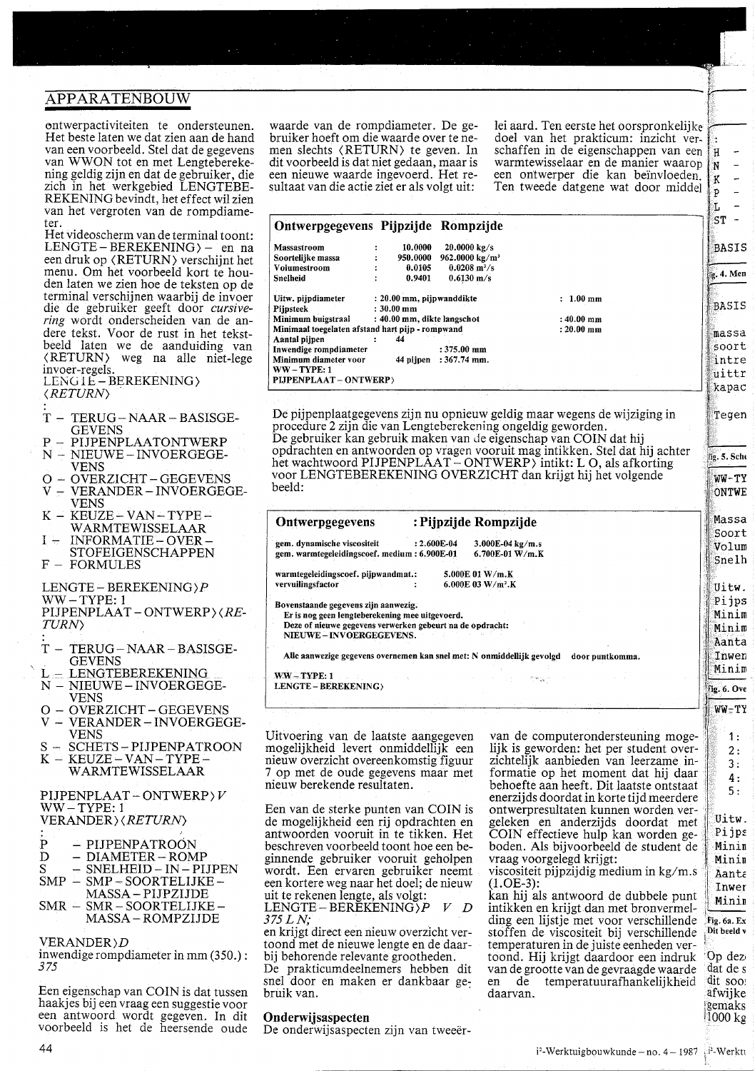### APPARATENBOUW

ontwerpactiviteiten te ondersteunen. Het beste laten we dat zien aan de hand van een voorbeeld. Stel dat de gegevens van WWON tot en met Lengteberekening geldig zijn en dat de gebruiker, die zich in het werkgebied LENGTEBE-REKENING bevindt, het effect wil zien van het vergroten van de rompdiameter.

Het videoscherm van de terminal toont:  $LENGTE - BEREKENING$  – en na een druk op (RETURN) verschijnt het menu. Om het voorbeeld kort te houden laten we zien hoe de teksten op de terminal verschijnen waarbij de invoer die de gebruiker geeft door cursivering wordt onderscheiden van de andere tekst. Voor de rust in het tekstbeeld laten we de aanduiding van (RETURN) weg na alle niet-lege invoer-regels.<br>LENG1E-BEREKENING>

 $\langle RETURN\rangle$ 

- T TERUG-NAAR-BASISGE-**GEVENS**
- PIJPENPLAATONTWERP  $\mathbf{P}$
- NIEUWE-INVOERGEGE-N المناز **VENS**
- $\circ$ OVERZICHT-GEGEVENS
- VERANDER-INVOERGEGE-V **VENS**
- $KEUZE-VAN-TYPE-$ K WARMTEWISSELAAR
- $I -$ **INFORMATIE-OVER-**
- STOFEIGENSCHAPPEN
- $F FORMULES$

 $LENGTE - BEREKENING$ )  $P$  $WW - TYPE: 1$ PIJPENPLAAT-ONTWERP><RE-TURN)

- T TERUG-NAAR-BASISGE-**GEVENS**
- LENGTEBEREKENING  $L -$
- ${\bf N}$  $\overline{\phantom{a}}$ NIEUWE-INVOERGEGE-VENS
- O OVERZICHT-GEGEVENS
- VERANDER-INVOERGEGEv VENS
- S SCHETS-PIJPENPATROON
- $K KEUZE VAN TYPE -$ WARMTEWISSELAAR

PIJPENPLAAT-ONTWERP)V  $WW-TYPE:1$ VERANDER>*\RETURN*>

- $\overline{P}$ - PIJPENPATROON
- D - DIAMETER-ROMP
- SNELHEID IN PIJPEN S  $SMP - SMP - SOORTELIJKE -$
- MASSA-PIJPZIJDE  $SMR - SMR - SOORTELIJKE -$
- MASSA-ROMPZIJDE

#### $VERANDER$ )D

inwendige rompdiameter in mm (350.): 375

Een eigenschap van COIN is dat tussen haakjes bij een vraag een suggestie voor een antwoord wordt gegeven. In dit voorbeeld is het de heersende oude

waarde van de rompdiameter. De gebruiker hoeft om die waarde over te nemen slechts (RETURN) te geven. In dit voorbeeld is dat niet gedaan, maar is een nieuwe waarde ingevoerd. Het resultaat van die actie ziet er als volgt uit:

lei aard. Ten eerste het oorspronkelijke doel van het prakticum: inzicht verschaffen in de eigenschappen van een warmtewisselaar en de manier waarop een ontwerper die kan beïnvloeden. Ten tweede datgene wat door middel

 $\,$  N

K

p

L

SI

BA

ig. 4

BA

ma

 $SO$ 

ά'n

บบ่ ka

Te

fig. 5

**WV** 

ON

Ma

.Sc

Vc

 $Sn$ 

Ui

 $P<sub>1</sub>$ 

Mi

Mi Aa

Ir

Mi

Fig. t

WV

Πi

Pi

 $M<sub>1</sub>$ 

Mi

Αċ

Ιr

M)

Fig. 6

Dit b

 $\operatorname{Op}$ 

dat

dit

afw

gem

100

| Ontwerpgegevens Pijpzijde Rompzijde                               |                      |                           |                               |              |
|-------------------------------------------------------------------|----------------------|---------------------------|-------------------------------|--------------|
| Massastroom                                                       |                      | 10.0000                   | $20.0000 \text{ kg/s}$        |              |
| Soortelijke massa                                                 |                      | 950.0000                  | 962.0000 kg/m <sup>3</sup>    |              |
| Volumestroom                                                      |                      | 0.0105                    | $0.0208 \text{ m}^3/\text{s}$ |              |
| Snelheid                                                          | $\ddot{\phantom{0}}$ | 0.9401                    | $0.6130 \text{ m/s}$          |              |
| Uitw. pijpdiameter                                                |                      | : 20.00 mm, pijpwanddikte |                               | $: 1.00$ mm  |
| Pijpsteek                                                         |                      | $: 30.00$ mm              |                               |              |
| Minimum buigstraal                                                |                      |                           | : 40.00 mm, dikte langschot   | $: 40.00$ mm |
| Minimaal toegelaten afstand hart pijp - rompwand                  |                      |                           |                               | $: 20.00$ mm |
| Aantal pijpen                                                     |                      | 44                        |                               |              |
| Inwendige rompdiameter                                            |                      |                           | $:375.00$ mm                  |              |
| Minimum diameter voor<br>$WW - TYPE: 1$<br>PIJPENPLAAT - ONTWERP> |                      | 44 pijpen                 | $:367.74$ mm.                 |              |
|                                                                   |                      |                           |                               |              |

De pijpenplaatgegevens zijn nu opnieuw geldig maar wegens de wijziging in procedure 2 zijn die van Lengteberekening ongeldig geworden. De gebruiker kan gebruik maken van de eigenschap van COIN dat hij opdrachten en antwoorden op vragen vooruit mag intikken. Stel dat hij achter<br>het wachtwoord PIJPENPLAAT – ONTWERP intikt: L O, als afkorting<br>voor LENGTEBEREKENING OVERZICHT dan krijgt hij het volgende beeld:

| Ontwerpgegevens                                                                                                                                                                |               | : Pijpzijde Rompzijde                            |                 |  |
|--------------------------------------------------------------------------------------------------------------------------------------------------------------------------------|---------------|--------------------------------------------------|-----------------|--|
| gem. dynamische viscositeit<br>gem. warmtegeleidingscoef. medium: 6.900E-01                                                                                                    | $: 2.600E-04$ | 3.000E-04 kg/m.s<br>6.700E-01 W/m.K              |                 |  |
| warmtegeleidingscoef.pijpwandmat.:<br>vervuilingsfactor                                                                                                                        |               | 5.000E 01 W/m.K<br>6.000E 03 W/m <sup>2</sup> .K |                 |  |
| Bovenstaande gegevens zijn aanwezig.<br>Er is nog geen lengteberekening mee uitgevoerd.<br>Deze of nieuwe gegevens verwerken gebeurt na de opdracht:<br>NIEUWE-INVOERGEGEVENS. |               |                                                  |                 |  |
| Alle aanwezige gegevens overnemen kan snel met: N onmiddellijk gevolgd                                                                                                         |               |                                                  | door puntkomma. |  |
| $WW - TYPE: 1$                                                                                                                                                                 |               |                                                  |                 |  |

LENGTE-BEREKENING>

Uitvoering van de laatste aangegeven mogelijkheid levert onmiddellijk een nieuw overzicht overeenkomstig figuur 7 op met de oude gegevens maar met nieuw berekende resultaten.

Een van de sterke punten van COIN is de mogelijkheid een rij opdrachten en antwoorden vooruit in te tikken. Het beschreven voorbeeld toont hoe een beginnende gebruiker vooruit geholpen wordt. Een ervaren gebruiker neemt een kortere weg naar het doel; de nieuw uit te rekenen lengte, als volgt:

 $LENGTE-BEREKENING$ ) P  $V$  D  $375 L N;$ 

en krijgt direct een nieuw overzicht vertoond met de nieuwe lengte en de daarbij behorende relevante grootheden. De prakticumdeelnemers hebben dit snel door en maken er dankbaar gebruik van.

#### Onderwijsaspecten

De onderwijsaspecten zijn van tweeër-

van de computerondersteuning mogelijk is geworden: het per student overzichtelijk aanbieden van leerzame informatie op het moment dat hij daar behoefte aan heeft. Dit laatste ontstaat enerzijds doordat in korte tijd meerdere ontwerpresultaten kunnen worden vergeleken en anderzijds doordat met COIN effectieve hulp kan worden geboden. Als bijvoorbeeld de student de vraag voorgelegd krijgt:

viscositeit pijpzijdig medium in kg/m.s  $(1.0E-3):$ 

kan hij als antwoord de dubbele punt intikken en krijgt dan met bronvermelding een lijstje met voor verschillende stoffen de viscositeit bij verschillende temperaturen in de juiste eenheden vertoond. Hij krijgt daardoor een indruk van de grootte van de gevraagde waarde en de temperatuurafhankelijkheid daarvan.